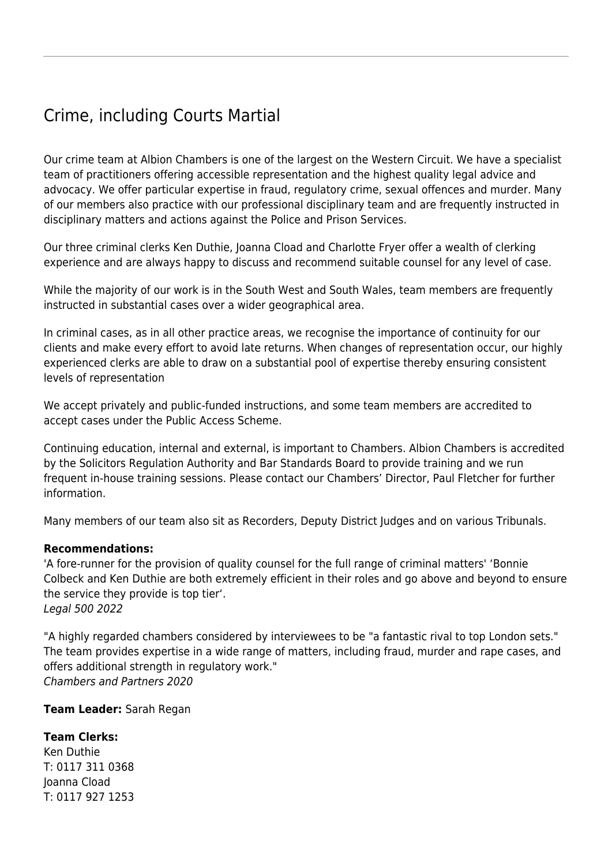## Crime, including Courts Martial

Our crime team at Albion Chambers is one of the largest on the Western Circuit. We have a specialist team of practitioners offering accessible representation and the highest quality legal advice and advocacy. We offer particular expertise in fraud, regulatory crime, sexual offences and murder. Many of our members also practice with our [professional disciplinary team](https://www.albionchambers.co.uk/specialist-areas/employment-and-professional-disciplinary) and are frequently instructed in disciplinary matters and actions against the Police and Prison Services.

Our three criminal clerks Ken Duthie, Joanna Cload and Charlotte Fryer offer a wealth of clerking experience and are always happy to discuss and recommend suitable counsel for any level of case.

While the majority of our work is in the South West and South Wales, team members are frequently instructed in substantial cases over a wider geographical area.

In criminal cases, as in all other practice areas, we recognise the importance of continuity for our clients and make every effort to avoid late returns. When changes of representation occur, our highly experienced clerks are able to draw on a substantial pool of expertise thereby ensuring consistent levels of representation

We accept privately and public-funded instructions, and some team members are accredited to accept cases under the [Public Access Scheme](https://www.albionchambers.co.uk/public-access).

Continuing education, internal and external, is important to Chambers. Albion Chambers is accredited by the Solicitors Regulation Authority and Bar Standards Board to provide training and we run frequent in-house training sessions. Please contact our Chambers' Director, [Paul Fletcher](mailto:paul.fletcher@albionchambers.co.uk?subject=Crime%20team) for further information.

Many members of our team also sit as Recorders, Deputy District Judges and on various Tribunals.

## **Recommendations:**

'A fore-runner for the provision of quality counsel for the full range of criminal matters' 'Bonnie Colbeck and Ken Duthie are both extremely efficient in their roles and go above and beyond to ensure the service they provide is top tier'. Legal 500 2022

"A highly regarded chambers considered by interviewees to be "a fantastic rival to top London sets." The team provides expertise in a wide range of matters, including fraud, murder and rape cases, and offers additional strength in regulatory work." Chambers and Partners 2020

**Team Leader:** [Sarah](https://www.albionchambers.co.uk/members/stephen-mooney) [Regan](https://www.albionchambers.co.uk/members/sarah-regan)

## **Team Clerks:**

[Ken Duthie](mailto:ken.duthie@albionchambers.co.uk) T: 0117 311 0368 [Joanna Cload](mailto:joanna.cload@albionchambers.co.uk) T: 0117 927 1253